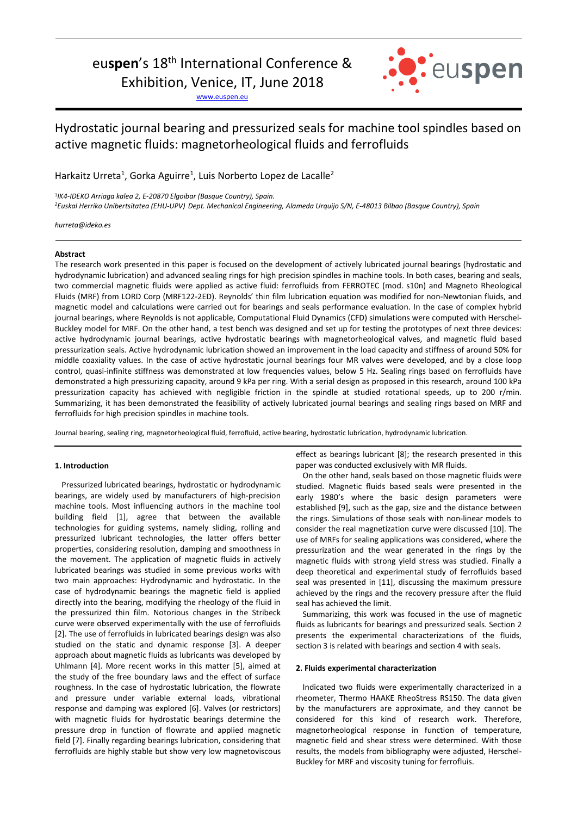# euspen's 18<sup>th</sup> International Conference &

Exhibition, Venice, IT, June 2018

www.euspen.eu



## Hydrostatic journal bearing and pressurized seals for machine tool spindles based on active magnetic fluids: magnetorheological fluids and ferrofluids

Harkaitz Urreta<sup>1</sup>, Gorka Aguirre<sup>1</sup>, Luis Norberto Lopez de Lacalle<sup>2</sup>

1 *IK4-IDEKO Arriaga kalea 2, E-20870 Elgoibar (Basque Country), Spain. <sup>2</sup>Euskal Herriko Unibertsitatea (EHU-UPV) Dept. Mechanical Engineering, Alameda Urquijo S/N, E-48013 Bilbao (Basque Country), Spain* 

*hurreta@ideko.es*

## **Abstract**

The research work presented in this paper is focused on the development of actively lubricated journal bearings (hydrostatic and hydrodynamic lubrication) and advanced sealing rings for high precision spindles in machine tools. In both cases, bearing and seals, two commercial magnetic fluids were applied as active fluid: ferrofluids from FERROTEC (mod. s10n) and Magneto Rheological Fluids (MRF) from LORD Corp (MRF122-2ED). Reynolds' thin film lubrication equation was modified for non-Newtonian fluids, and magnetic model and calculations were carried out for bearings and seals performance evaluation. In the case of complex hybrid journal bearings, where Reynolds is not applicable, Computational Fluid Dynamics (CFD) simulations were computed with Herschel-Buckley model for MRF. On the other hand, a test bench was designed and set up for testing the prototypes of next three devices: active hydrodynamic journal bearings, active hydrostatic bearings with magnetorheological valves, and magnetic fluid based pressurization seals. Active hydrodynamic lubrication showed an improvement in the load capacity and stiffness of around 50% for middle coaxiality values. In the case of active hydrostatic journal bearings four MR valves were developed, and by a close loop control, quasi-infinite stiffness was demonstrated at low frequencies values, below 5 Hz. Sealing rings based on ferrofluids have demonstrated a high pressurizing capacity, around 9 kPa per ring. With a serial design as proposed in this research, around 100 kPa pressurization capacity has achieved with negligible friction in the spindle at studied rotational speeds, up to 200 r/min. Summarizing, it has been demonstrated the feasibility of actively lubricated journal bearings and sealing rings based on MRF and ferrofluids for high precision spindles in machine tools.

Journal bearing, sealing ring, magnetorheological fluid, ferrofluid, active bearing, hydrostatic lubrication, hydrodynamic lubrication.

## **1. Introduction**

Pressurized lubricated bearings, hydrostatic or hydrodynamic bearings, are widely used by manufacturers of high-precision machine tools. Most influencing authors in the machine tool building field [1], agree that between the available technologies for guiding systems, namely sliding, rolling and pressurized lubricant technologies, the latter offers better properties, considering resolution, damping and smoothness in the movement. The application of magnetic fluids in actively lubricated bearings was studied in some previous works with two main approaches: Hydrodynamic and hydrostatic. In the case of hydrodynamic bearings the magnetic field is applied directly into the bearing, modifying the rheology of the fluid in the pressurized thin film. Notorious changes in the Stribeck curve were observed experimentally with the use of ferrofluids [2]. The use of ferrofluids in lubricated bearings design was also studied on the static and dynamic response [3]. A deeper approach about magnetic fluids as lubricants was developed by Uhlmann [4]. More recent works in this matter [5], aimed at the study of the free boundary laws and the effect of surface roughness. In the case of hydrostatic lubrication, the flowrate and pressure under variable external loads, vibrational response and damping was explored [6]. Valves (or restrictors) with magnetic fluids for hydrostatic bearings determine the pressure drop in function of flowrate and applied magnetic field [7]. Finally regarding bearings lubrication, considering that ferrofluids are highly stable but show very low magnetoviscous effect as bearings lubricant [8]; the research presented in this paper was conducted exclusively with MR fluids.

On the other hand, seals based on those magnetic fluids were studied. Magnetic fluids based seals were presented in the early 1980's where the basic design parameters were established [9], such as the gap, size and the distance between the rings. Simulations of those seals with non-linear models to consider the real magnetization curve were discussed [10]. The use of MRFs for sealing applications was considered, where the pressurization and the wear generated in the rings by the magnetic fluids with strong yield stress was studied. Finally a deep theoretical and experimental study of ferrofluids based seal was presented in [11], discussing the maximum pressure achieved by the rings and the recovery pressure after the fluid seal has achieved the limit.

Summarizing, this work was focused in the use of magnetic fluids as lubricants for bearings and pressurized seals. Section 2 presents the experimental characterizations of the fluids, section 3 is related with bearings and section 4 with seals.

#### **2. Fluids experimental characterization**

Indicated two fluids were experimentally characterized in a rheometer, Thermo HAAKE RheoStress RS150. The data given by the manufacturers are approximate, and they cannot be considered for this kind of research work. Therefore, magnetorheological response in function of temperature, magnetic field and shear stress were determined. With those results, the models from bibliography were adjusted, Herschel-Buckley for MRF and viscosity tuning for ferrofluis.